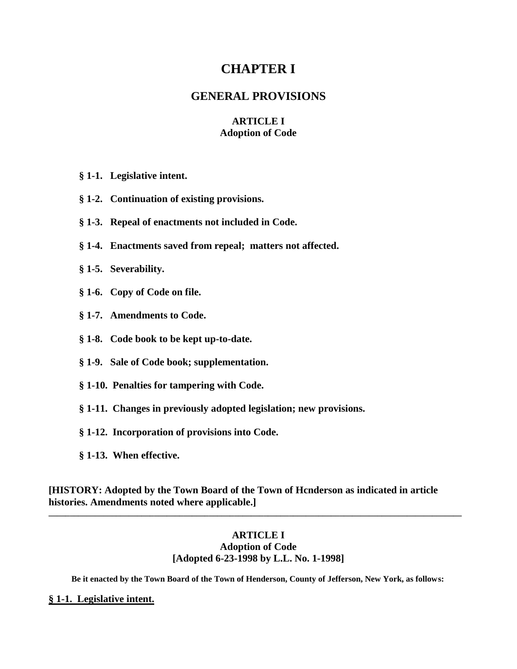# **CHAPTER I**

# **GENERAL PROVISIONS**

# **ARTICLE I Adoption of Code**

- **§ 1-1. Legislative intent.**
- **§ 1-2. Continuation of existing provisions.**
- **§ 1-3. Repeal of enactments not included in Code.**
- **§ 1-4. Enactments saved from repeal; matters not affected.**
- **§ 1-5. Severability.**
- **§ 1-6. Copy of Code on file.**
- **§ 1-7. Amendments to Code.**
- **§ 1-8. Code book to be kept up-to-date.**
- **§ 1-9. Sale of Code book; supplementation.**
- **§ 1-10. Penalties for tampering with Code.**
- **§ 1-11. Changes in previously adopted legislation; new provisions.**
- **§ 1-12. Incorporation of provisions into Code.**
- **§ 1-13. When effective.**

**[HISTORY: Adopted by the Town Board of the Town of Hcnderson as indicated in article histories. Amendments noted where applicable.]**

# **ARTICLE I Adoption of Code [Adopted 6-23-1998 by L.L. No. 1-1998]**

**\_\_\_\_\_\_\_\_\_\_\_\_\_\_\_\_\_\_\_\_\_\_\_\_\_\_\_\_\_\_\_\_\_\_\_\_\_\_\_\_\_\_\_\_\_\_\_\_\_\_\_\_\_\_\_\_\_\_\_\_\_\_\_\_\_\_\_\_\_\_\_\_\_\_\_\_\_\_\_\_\_\_\_\_\_\_\_\_\_\_\_\_\_\_\_\_\_\_**

**Be it enacted by the Town Board of the Town of Henderson, County of Jefferson, New York, as follows:**

## **§ 1-1. Legislative intent.**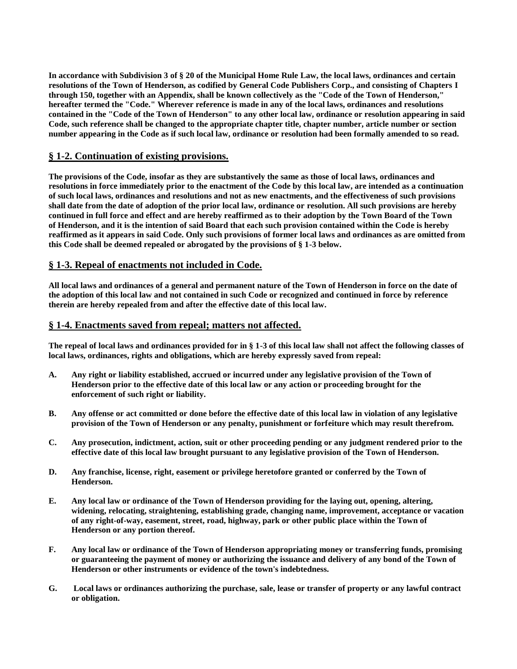**In accordance with Subdivision 3 of § 20 of the Municipal Home Rule Law, the local laws, ordinances and certain resolutions of the Town of Henderson, as codified by General Code Publishers Corp., and consisting of Chapters I through 150, together with an Appendix, shall be known collectively as the "Code of the Town of Henderson," hereafter termed the "Code." Wherever reference is made in any of the local laws, ordinances and resolutions contained in the "Code of the Town of Henderson" to any other local law, ordinance or resolution appearing in said Code, such reference shall be changed to the appropriate chapter title, chapter number, article number or section number appearing in the Code as if such local law, ordinance or resolution had been formally amended to so read.**

## **§ 1-2. Continuation of existing provisions.**

**The provisions of the Code, insofar as they are substantively the same as those of local laws, ordinances and resolutions in force immediately prior to the enactment of the Code by this local law, are intended as a continuation of such local laws, ordinances and resolutions and not as new enactments, and the effectiveness of such provisions shall date from the date of adoption of the prior local law, ordinance or resolution. All such provisions are hereby continued in full force and effect and are hereby reaffirmed as to their adoption by the Town Board of the Town of Henderson, and it is the intention of said Board that each such provision contained within the Code is hereby reaffirmed as it appears in said Code. Only such provisions of former local laws and ordinances as are omitted from this Code shall be deemed repealed or abrogated by the provisions of § 1-3 below.**

## **§ 1-3. Repeal of enactments not included in Code.**

**All local laws and ordinances of a general and permanent nature of the Town of Henderson in force on the date of the adoption of this local law and not contained in such Code or recognized and continued in force by reference therein are hereby repealed from and after the effective date of this local law.**

#### **§ 1-4. Enactments saved from repeal; matters not affected.**

**The repeal of local laws and ordinances provided for in § 1-3 of this local law shall not affect the following classes of local laws, ordinances, rights and obligations, which are hereby expressly saved from repeal:**

- **A. Any right or liability established, accrued or incurred under any legislative provision of the Town of Henderson prior to the effective date of this local law or any action or proceeding brought for the enforcement of such right or liability.**
- **B. Any offense or act committed or done before the effective date of this local law in violation of any legislative provision of the Town of Henderson or any penalty, punishment or forfeiture which may result therefrom.**
- **C. Any prosecution, indictment, action, suit or other proceeding pending or any judgment rendered prior to the effective date of this local law brought pursuant to any legislative provision of the Town of Henderson.**
- **D. Any franchise, license, right, easement or privilege heretofore granted or conferred by the Town of Henderson.**
- **E. Any local law or ordinance of the Town of Henderson providing for the laying out, opening, altering, widening, relocating, straightening, establishing grade, changing name, improvement, acceptance or vacation of any right-of-way, easement, street, road, highway, park or other public place within the Town of Henderson or any portion thereof.**
- **F. Any local law or ordinance of the Town of Henderson appropriating money or transferring funds, promising or guaranteeing the payment of money or authorizing the issuance and delivery of any bond of the Town of Henderson or other instruments or evidence of the town's indebtedness.**
- **G. Local laws or ordinances authorizing the purchase, sale, lease or transfer of property or any lawful contract or obligation.**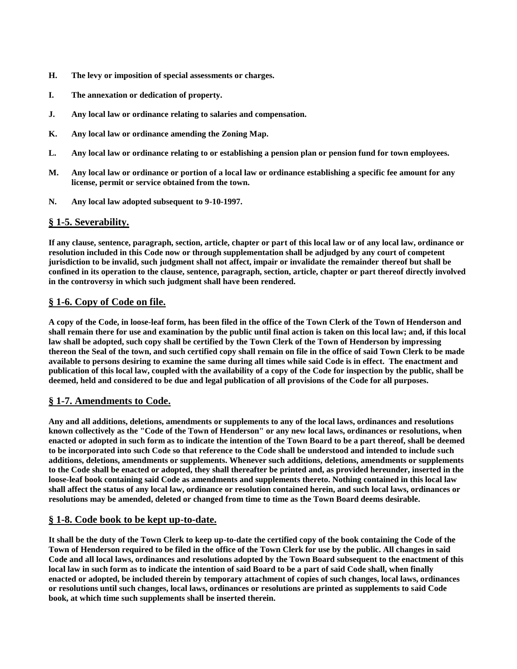- **H. The levy or imposition of special assessments or charges.**
- **I. The annexation or dedication of property.**
- **J. Any local law or ordinance relating to salaries and compensation.**
- **K. Any local law or ordinance amending the Zoning Map.**
- **L. Any local law or ordinance relating to or establishing a pension plan or pension fund for town employees.**
- **M. Any local law or ordinance or portion of a local law or ordinance establishing a specific fee amount for any license, permit or service obtained from the town.**
- **N. Any local law adopted subsequent to 9-10-1997.**

#### **§ 1-5. Severability.**

**If any clause, sentence, paragraph, section, article, chapter or part of this local law or of any local law, ordinance or resolution included in this Code now or through supplementation shall be adjudged by any court of competent jurisdiction to be invalid, such judgment shall not affect, impair or invalidate the remainder thereof but shall be confined in its operation to the clause, sentence, paragraph, section, article, chapter or part thereof directly involved in the controversy in which such judgment shall have been rendered.**

## **§ 1-6. Copy of Code on file.**

**A copy of the Code, in loose-leaf form, has been filed in the office of the Town Clerk of the Town of Henderson and shall remain there for use and examination by the public until final action is taken on this local law; and, if this local law shall be adopted, such copy shall be certified by the Town Clerk of the Town of Henderson by impressing thereon the Seal of the town, and such certified copy shall remain on file in the office of said Town Clerk to be made available to persons desiring to examine the same during all times while said Code is in effect. The enactment and publication of this local law, coupled with the availability of a copy of the Code for inspection by the public, shall be deemed, held and considered to be due and legal publication of all provisions of the Code for all purposes.**

#### **§ 1-7. Amendments to Code.**

**Any and all additions, deletions, amendments or supplements to any of the local laws, ordinances and resolutions known collectively as the "Code of the Town of Henderson" or any new local laws, ordinances or resolutions, when enacted or adopted in such form as to indicate the intention of the Town Board to be a part thereof, shall be deemed to be incorporated into such Code so that reference to the Code shall be understood and intended to include such additions, deletions, amendments or supplements. Whenever such additions, deletions, amendments or supplements to the Code shall be enacted or adopted, they shall thereafter be printed and, as provided hereunder, inserted in the loose-leaf book containing said Code as amendments and supplements thereto. Nothing contained in this local law shall affect the status of any local law, ordinance or resolution contained herein, and such local laws, ordinances or resolutions may be amended, deleted or changed from time to time as the Town Board deems desirable.**

# **§ 1-8. Code book to be kept up-to-date.**

**It shall be the duty of the Town Clerk to keep up-to-date the certified copy of the book containing the Code of the Town of Henderson required to be filed in the office of the Town Clerk for use by the public. All changes in said Code and all local laws, ordinances and resolutions adopted by the Town Board subsequent to the enactment of this local law in such form as to indicate the intention of said Board to be a part of said Code shall, when finally enacted or adopted, be included therein by temporary attachment of copies of such changes, local laws, ordinances or resolutions until such changes, local laws, ordinances or resolutions are printed as supplements to said Code book, at which time such supplements shall be inserted therein.**